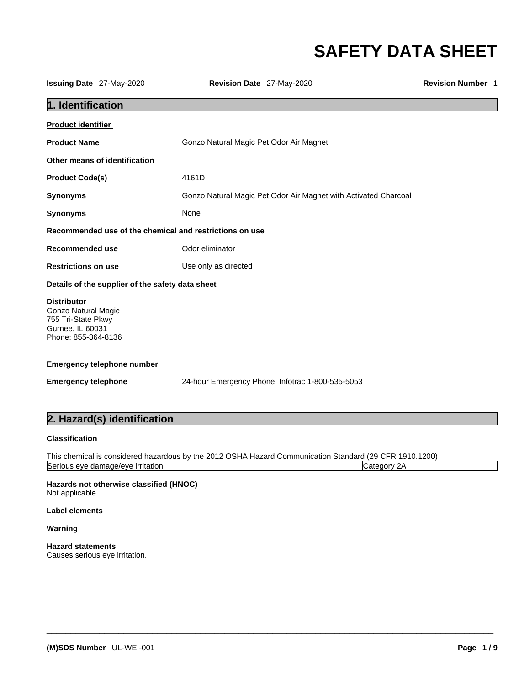# **SAFETY DATA SHEET**

| Gonzo Natural Magic Pet Odor Air Magnet with Activated Charcoal                                                        |
|------------------------------------------------------------------------------------------------------------------------|
|                                                                                                                        |
|                                                                                                                        |
|                                                                                                                        |
|                                                                                                                        |
|                                                                                                                        |
|                                                                                                                        |
|                                                                                                                        |
|                                                                                                                        |
|                                                                                                                        |
|                                                                                                                        |
| This chemical is considered hazardous by the 2012 OSHA Hazard Communication Standard (29 CFR 1910.1200)<br>Category 2A |
|                                                                                                                        |
|                                                                                                                        |

 $\_$  ,  $\_$  ,  $\_$  ,  $\_$  ,  $\_$  ,  $\_$  ,  $\_$  ,  $\_$  ,  $\_$  ,  $\_$  ,  $\_$  ,  $\_$  ,  $\_$  ,  $\_$  ,  $\_$  ,  $\_$  ,  $\_$  ,  $\_$  ,  $\_$  ,  $\_$  ,  $\_$  ,  $\_$  ,  $\_$  ,  $\_$  ,  $\_$  ,  $\_$  ,  $\_$  ,  $\_$  ,  $\_$  ,  $\_$  ,  $\_$  ,  $\_$  ,  $\_$  ,  $\_$  ,  $\_$  ,  $\_$  ,  $\_$  ,

**Warning** 

**Hazard statements** Causes serious eye irritation.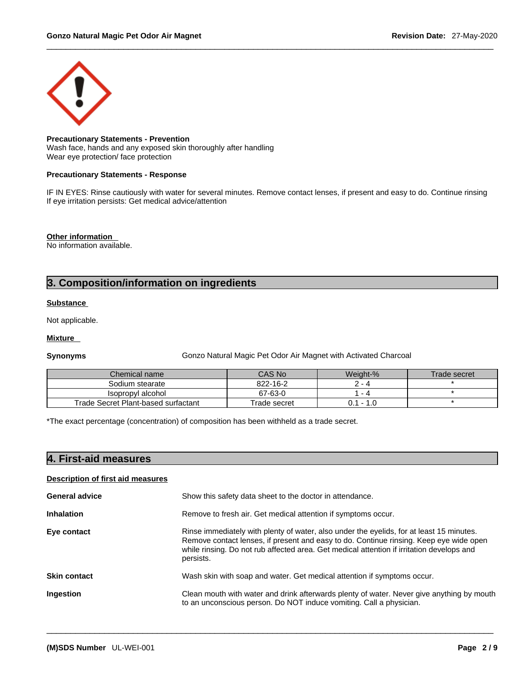

#### **Precautionary Statements - Prevention**

Wash face, hands and any exposed skin thoroughly after handling Wear eye protection/ face protection

#### **Precautionary Statements - Response**

IF IN EYES: Rinse cautiously with water for several minutes. Remove contact lenses, if present and easy to do. Continue rinsing If eye irritation persists: Get medical advice/attention

**Other information** 

No information available.

# **3. Composition/information on ingredients**

#### **Substance**

Not applicable.

#### **Mixture**

**Synonyms Gonzo Natural Magic Pet Odor Air Magnet with Activated Charcoal** 

| Chemical name                       | CAS No       | Weiaht-%    | Trade secret |
|-------------------------------------|--------------|-------------|--------------|
| Sodium stearate                     | 822-16-2     | - 4         |              |
| Isopropyl alcohol                   | 67-63-0      | - 4         |              |
| Trade Secret Plant-based surfactant | Trade secret | $0.1 - 1.0$ |              |

\*The exact percentage (concentration) of composition has been withheld as a trade secret.

|  |  | <b>4. First-aid measures</b> |  |
|--|--|------------------------------|--|
|--|--|------------------------------|--|

### **Description of first aid measures**

| <b>General advice</b> | Show this safety data sheet to the doctor in attendance.                                                                                                                                                                                                                                     |
|-----------------------|----------------------------------------------------------------------------------------------------------------------------------------------------------------------------------------------------------------------------------------------------------------------------------------------|
| <b>Inhalation</b>     | Remove to fresh air. Get medical attention if symptoms occur.                                                                                                                                                                                                                                |
| Eye contact           | Rinse immediately with plenty of water, also under the eyelids, for at least 15 minutes.<br>Remove contact lenses, if present and easy to do. Continue rinsing. Keep eye wide open<br>while rinsing. Do not rub affected area. Get medical attention if irritation develops and<br>persists. |
| <b>Skin contact</b>   | Wash skin with soap and water. Get medical attention if symptoms occur.                                                                                                                                                                                                                      |
| Ingestion             | Clean mouth with water and drink afterwards plenty of water. Never give anything by mouth<br>to an unconscious person. Do NOT induce vomiting. Call a physician.                                                                                                                             |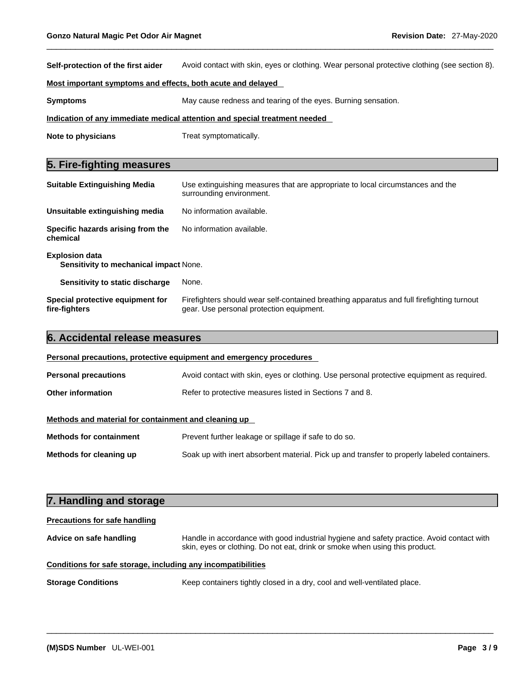**Self-protection of the first aider** Avoid contact with skin, eyes or clothing. Wear personal protective clothing (see section 8).

#### **Most important symptoms and effects, both acute and delayed**

**Symptoms** May cause redness and tearing of the eyes. Burning sensation.

#### **Indication of any immediate medical attention and special treatment needed**

**Note to physicians** Treat symptomatically.

## **5. Fire-fighting measures**

| <b>Suitable Extinguishing Media</b>                             | Use extinguishing measures that are appropriate to local circumstances and the<br>surrounding environment.                            |  |  |
|-----------------------------------------------------------------|---------------------------------------------------------------------------------------------------------------------------------------|--|--|
| Unsuitable extinguishing media                                  | No information available.                                                                                                             |  |  |
| Specific hazards arising from the<br>chemical                   | No information available.                                                                                                             |  |  |
| <b>Explosion data</b><br>Sensitivity to mechanical impact None. |                                                                                                                                       |  |  |
| Sensitivity to static discharge                                 | None.                                                                                                                                 |  |  |
| Special protective equipment for<br>fire-fighters               | Firefighters should wear self-contained breathing apparatus and full firefighting turnout<br>gear. Use personal protection equipment. |  |  |

# **6. Accidental release measures Personal precautions, protective equipment and emergency procedures** Personal precautions **Avoid contact with skin, eyes or clothing.** Use personal protective equipment as required. **Other information** Refer to protective measures listed in Sections 7 and 8. **Methods and material for containment and cleaning up Methods for containment** Prevent further leakage or spillage if safe to do so. **Methods for cleaning up** Soak up with inert absorbent material. Pick up and transfer to properly labeled containers.

| 7. Handling and storage              |                                                                                                                                                                          |
|--------------------------------------|--------------------------------------------------------------------------------------------------------------------------------------------------------------------------|
| <b>Precautions for safe handling</b> |                                                                                                                                                                          |
| Advice on safe handling              | Handle in accordance with good industrial hygiene and safety practice. Avoid contact with<br>skin, eyes or clothing. Do not eat, drink or smoke when using this product. |
|                                      | Conditions for safe storage, including any incompatibilities                                                                                                             |
| <b>Storage Conditions</b>            | Keep containers tightly closed in a dry, cool and well-ventilated place.                                                                                                 |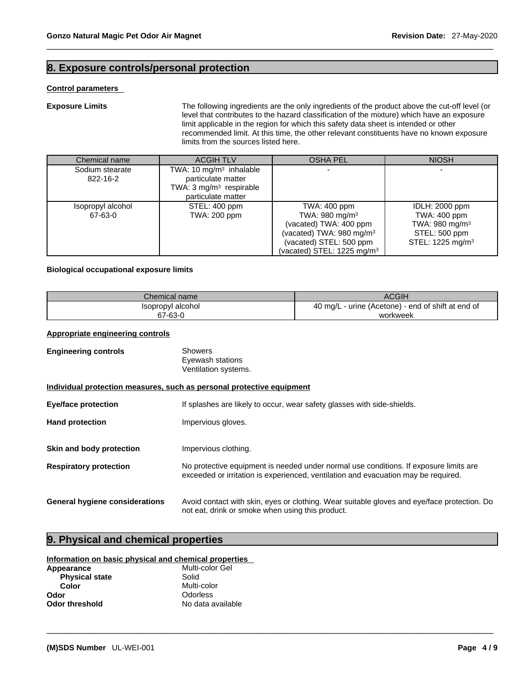# **8. Exposure controls/personal protection**

#### **Control parameters**

**Exposure Limits** The following ingredients are the only ingredients of the product above the cut-off level (or level that contributes to the hazard classification of the mixture) which have an exposure limit applicable in the region for which this safety data sheet is intended or other recommended limit. At this time, the other relevant constituents have no known exposure

|                             | limits from the sources listed here.                                                                                  |                                       |                              |
|-----------------------------|-----------------------------------------------------------------------------------------------------------------------|---------------------------------------|------------------------------|
| Chemical name               | <b>ACGIH TLV</b>                                                                                                      | <b>OSHA PEL</b>                       | <b>NIOSH</b>                 |
| Sodium stearate<br>822-16-2 | TWA: 10 mg/m <sup>3</sup> inhalable<br>particulate matter<br>TWA: $3 \text{ mg/m}^3$ respirable<br>particulate matter |                                       |                              |
| Isopropyl alcohol           | STEL: 400 ppm                                                                                                         | TWA: 400 ppm                          | IDLH: 2000 ppm               |
| 67-63-0                     | TWA: 200 ppm                                                                                                          | TWA: $980 \text{ mg/m}^3$             | TWA: 400 ppm                 |
|                             |                                                                                                                       | (vacated) TWA: 400 ppm                | TWA: 980 mg/m <sup>3</sup>   |
|                             |                                                                                                                       | (vacated) TWA: $980 \text{ mg/m}^3$   | STEL: 500 ppm                |
|                             |                                                                                                                       | (vacated) STEL: 500 ppm               | STEL: 1225 mg/m <sup>3</sup> |
|                             |                                                                                                                       | (vacated) STEL: $1225 \text{ mg/m}^3$ |                              |

#### **Biological occupational exposure limits**

| Chemical name     | <b>ACGIH</b>                                          |
|-------------------|-------------------------------------------------------|
| Isopropyl alcohol | - urine (Acetone) - end of shift at end of<br>40 mg/L |
| 67-63-0           | workweek                                              |

### **Appropriate engineering controls**

| <b>Engineering controls</b>                                           | Showers<br>Eyewash stations<br>Ventilation systems.                                                                                                                         |  |  |
|-----------------------------------------------------------------------|-----------------------------------------------------------------------------------------------------------------------------------------------------------------------------|--|--|
| Individual protection measures, such as personal protective equipment |                                                                                                                                                                             |  |  |
| <b>Eye/face protection</b>                                            | If splashes are likely to occur, wear safety glasses with side-shields.                                                                                                     |  |  |
| <b>Hand protection</b>                                                | Impervious gloves.                                                                                                                                                          |  |  |
| Skin and body protection                                              | Impervious clothing.                                                                                                                                                        |  |  |
| <b>Respiratory protection</b>                                         | No protective equipment is needed under normal use conditions. If exposure limits are<br>exceeded or irritation is experienced, ventilation and evacuation may be required. |  |  |
| <b>General hygiene considerations</b>                                 | Avoid contact with skin, eyes or clothing. Wear suitable gloves and eye/face protection. Do<br>not eat, drink or smoke when using this product.                             |  |  |

 $\_$  ,  $\_$  ,  $\_$  ,  $\_$  ,  $\_$  ,  $\_$  ,  $\_$  ,  $\_$  ,  $\_$  ,  $\_$  ,  $\_$  ,  $\_$  ,  $\_$  ,  $\_$  ,  $\_$  ,  $\_$  ,  $\_$  ,  $\_$  ,  $\_$  ,  $\_$  ,  $\_$  ,  $\_$  ,  $\_$  ,  $\_$  ,  $\_$  ,  $\_$  ,  $\_$  ,  $\_$  ,  $\_$  ,  $\_$  ,  $\_$  ,  $\_$  ,  $\_$  ,  $\_$  ,  $\_$  ,  $\_$  ,  $\_$  ,

# **9. Physical and chemical properties**

#### **Information on basic physical and chemical properties**

| Appearance            | Multi-color Gel   |
|-----------------------|-------------------|
| <b>Physical state</b> | Solid             |
| Color                 | Multi-color       |
| Odor                  | <b>Odorless</b>   |
| <b>Odor threshold</b> | No data available |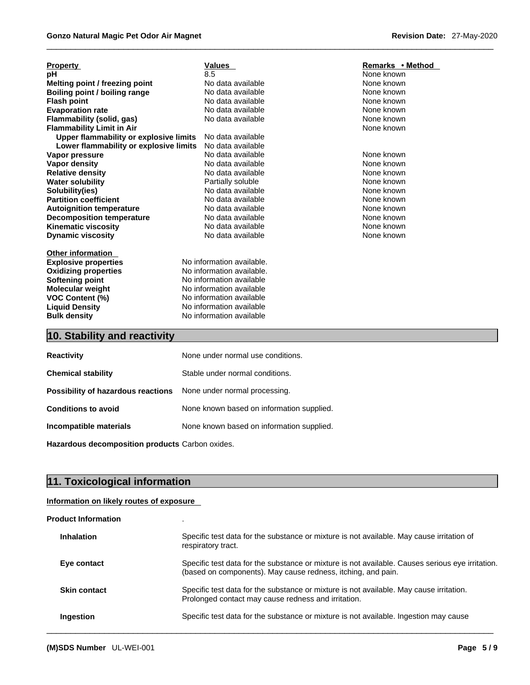| <b>Property</b>                        | <b>Values</b>             | Remarks • Method |
|----------------------------------------|---------------------------|------------------|
| рH                                     | 8.5                       | None known       |
| Melting point / freezing point         | No data available         | None known       |
| Boiling point / boiling range          | No data available         | None known       |
| <b>Flash point</b>                     | No data available         | None known       |
| <b>Evaporation rate</b>                | No data available         | None known       |
| Flammability (solid, gas)              | No data available         | None known       |
| <b>Flammability Limit in Air</b>       |                           | None known       |
| Upper flammability or explosive limits | No data available         |                  |
| Lower flammability or explosive limits | No data available         |                  |
| Vapor pressure                         | No data available         | None known       |
| Vapor density                          | No data available         | None known       |
| <b>Relative density</b>                | No data available         | None known       |
| <b>Water solubility</b>                | Partially soluble         | None known       |
| Solubility(ies)                        | No data available         | None known       |
| <b>Partition coefficient</b>           | No data available         | None known       |
| <b>Autoignition temperature</b>        | No data available         | None known       |
| <b>Decomposition temperature</b>       | No data available         | None known       |
| <b>Kinematic viscosity</b>             | No data available         | None known       |
| <b>Dynamic viscosity</b>               | No data available         | None known       |
| <b>Other information</b>               |                           |                  |
| <b>Explosive properties</b>            | No information available. |                  |
| <b>Oxidizing properties</b>            | No information available. |                  |
| Softening point                        | No information available  |                  |
| <b>Molecular weight</b>                | No information available  |                  |
| <b>VOC Content (%)</b>                 | No information available  |                  |
| <b>Liquid Density</b>                  | No information available  |                  |
| <b>Bulk density</b>                    | No information available  |                  |

# **10. Stability and reactivity**

| None under normal use conditions.                                       |
|-------------------------------------------------------------------------|
| Stable under normal conditions.                                         |
| <b>Possibility of hazardous reactions</b> None under normal processing. |
| None known based on information supplied.                               |
| None known based on information supplied.                               |
|                                                                         |

**Hazardous decomposition products** Carbon oxides.

# **11. Toxicological information**

#### **Information on likely routes of exposure**

| <b>Product Information</b> |                                                                                                                                                                  |
|----------------------------|------------------------------------------------------------------------------------------------------------------------------------------------------------------|
| <b>Inhalation</b>          | Specific test data for the substance or mixture is not available. May cause irritation of<br>respiratory tract.                                                  |
| Eye contact                | Specific test data for the substance or mixture is not available. Causes serious eye irritation.<br>(based on components). May cause redness, itching, and pain. |
| <b>Skin contact</b>        | Specific test data for the substance or mixture is not available. May cause irritation.<br>Prolonged contact may cause redness and irritation.                   |
| Ingestion                  | Specific test data for the substance or mixture is not available. Ingestion may cause                                                                            |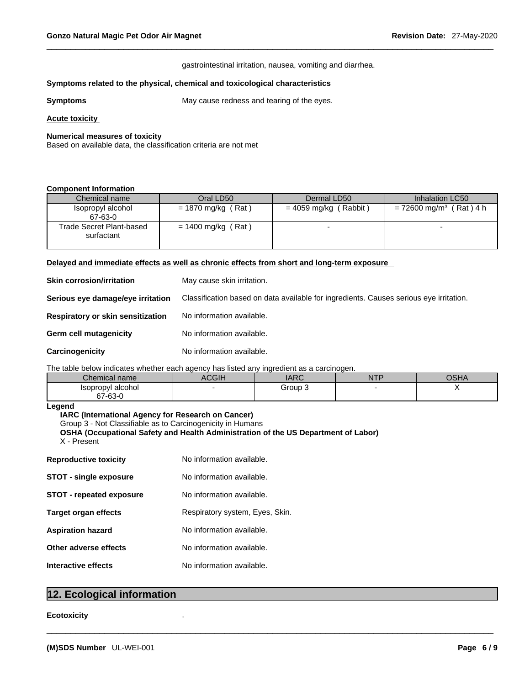#### gastrointestinal irritation, nausea, vomiting and diarrhea.

#### **Symptoms** related to the physical, chemical and toxicological characteristics

**Symptoms** May cause redness and tearing of the eyes.

#### **Acute toxicity**

#### **Numerical measures of toxicity**

Based on available data, the classification criteria are not met

#### **Component Information**

| Chemical name            | Oral LD50            | Dermal LD50             | Inhalation LC50                       |
|--------------------------|----------------------|-------------------------|---------------------------------------|
| Isopropyl alcohol        | $= 1870$ mg/kg (Rat) | $= 4059$ mg/kg (Rabbit) | $= 72600$ mg/m <sup>3</sup> (Rat) 4 h |
| 67-63-0                  |                      |                         |                                       |
| Trade Secret Plant-based | $= 1400$ mg/kg (Rat) |                         |                                       |
| surfactant               |                      |                         |                                       |
|                          |                      |                         |                                       |

#### **Delayed and immediate effects as well as chronic effects from short and long-term exposure**

| <b>Skin corrosion/irritation</b>  | May cause skin irritation.                                                             |
|-----------------------------------|----------------------------------------------------------------------------------------|
| Serious eye damage/eye irritation | Classification based on data available for ingredients. Causes serious eye irritation. |
| Respiratory or skin sensitization | No information available.                                                              |
| Germ cell mutagenicity            | No information available.                                                              |
| Carcinogenicity                   | No information available.                                                              |

#### The table below indicates whether each agency has listed any ingredient as a carcinogen.

| .                            |        |             |          |             |
|------------------------------|--------|-------------|----------|-------------|
| Chemical name                | $\sim$ | APC<br>IANC | NFT<br>. | <b>OSHA</b> |
| Isopropyl alcohol<br>67-63-0 |        | Group       |          |             |

 $\_$  ,  $\_$  ,  $\_$  ,  $\_$  ,  $\_$  ,  $\_$  ,  $\_$  ,  $\_$  ,  $\_$  ,  $\_$  ,  $\_$  ,  $\_$  ,  $\_$  ,  $\_$  ,  $\_$  ,  $\_$  ,  $\_$  ,  $\_$  ,  $\_$  ,  $\_$  ,  $\_$  ,  $\_$  ,  $\_$  ,  $\_$  ,  $\_$  ,  $\_$  ,  $\_$  ,  $\_$  ,  $\_$  ,  $\_$  ,  $\_$  ,  $\_$  ,  $\_$  ,  $\_$  ,  $\_$  ,  $\_$  ,  $\_$  ,

#### **Legend**

#### **IARC (International Agency for Research on Cancer)**

Group 3 - Not Classifiable as to Carcinogenicity in Humans

```
OSHA (Occupational Safety and Health Administration of the US Department of Labor)
X - Present
```

| <b>Reproductive toxicity</b>    | No information available.       |
|---------------------------------|---------------------------------|
| <b>STOT - single exposure</b>   | No information available.       |
| <b>STOT - repeated exposure</b> | No information available.       |
| Target organ effects            | Respiratory system, Eyes, Skin. |
| <b>Aspiration hazard</b>        | No information available.       |
| Other adverse effects           | No information available.       |
| Interactive effects             | No information available.       |
|                                 |                                 |

## **12. Ecological information**

#### **Ecotoxicity** .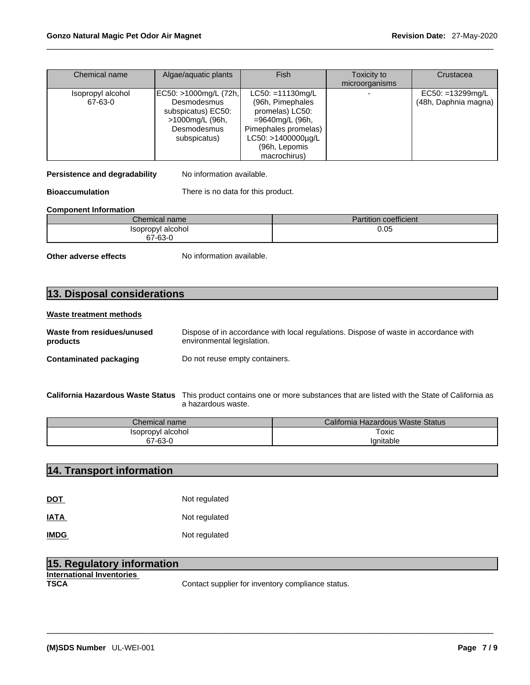| Chemical name                | Algae/aquatic plants                                                                                         | <b>Fish</b>                                                                                                                                                                | Toxicity to<br>microorganisms | Crustacea                                    |
|------------------------------|--------------------------------------------------------------------------------------------------------------|----------------------------------------------------------------------------------------------------------------------------------------------------------------------------|-------------------------------|----------------------------------------------|
| Isopropyl alcohol<br>67-63-0 | EC50: >1000mg/L (72h,<br>Desmodesmus<br>subspicatus) EC50:<br>>1000mg/L (96h,<br>Desmodesmus<br>subspicatus) | $LC50: = 11130 \text{mg/L}$<br>(96h, Pimephales<br>promelas) LC50:<br>=9640mg/L (96h,<br>Pimephales promelas)<br>$LC50: >1400000 \mu g/L$<br>(96h, Lepomis<br>macrochirus) |                               | $EC50: = 13299$ mg/L<br>(48h, Daphnia magna) |

**Persistence and degradability** No information available.

**Bioaccumulation** There is no data for this product.

#### **Component Information**

| Chemical name     | Partition coefficient |
|-------------------|-----------------------|
| Isopropyl alcohol | 0.05                  |
| 67-63-0           |                       |

**Other adverse effects** No information available.

# **13. Disposal considerations**

#### **Waste treatment methods**

| Waste from residues/unused    | Dispose of in accordance with local regulations. Dispose of waste in accordance with |
|-------------------------------|--------------------------------------------------------------------------------------|
| products                      | environmental legislation.                                                           |
| <b>Contaminated packaging</b> | Do not reuse empty containers.                                                       |

**California Hazardous Waste Status** This product contains one or more substances that are listed with the State of California as a hazardous waste.

| Chemical name                         | California Hazardous Waste Status |
|---------------------------------------|-----------------------------------|
| ' alcohol∶<br><i><b>Isopropyl</b></i> | -<br>oxic                         |
| 67-63-0                               | <i>v</i> anitable                 |

## **14. Transport information**

| <b>DOT</b>  | Not regulated |
|-------------|---------------|
| <b>IATA</b> | Not regulated |
| <b>IMDG</b> | Not regulated |

| 15. Regulatory information |                                                   |
|----------------------------|---------------------------------------------------|
| International Inventories  |                                                   |
| <b>TSCA</b>                | Contact supplier for inventory compliance status. |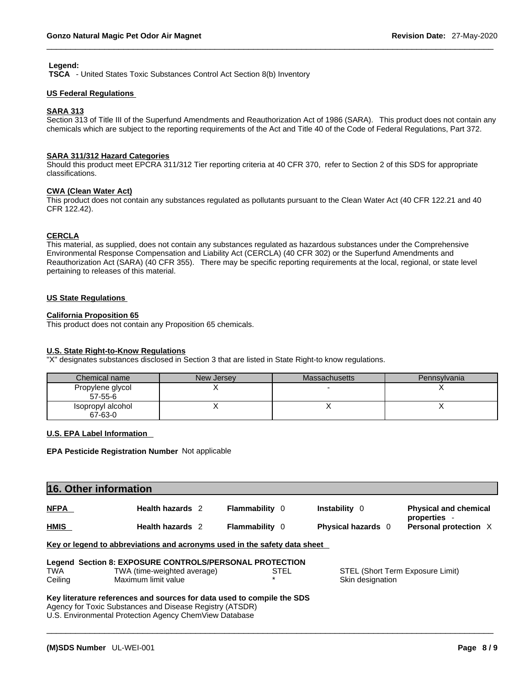#### **Legend:**

 **TSCA** - United States Toxic Substances Control Act Section 8(b) Inventory

#### **US Federal Regulations**

#### **SARA 313**

Section 313 of Title III of the Superfund Amendments and Reauthorization Act of 1986 (SARA). This product does not contain any chemicals which are subject to the reporting requirements of the Act and Title 40 of the Code of Federal Regulations, Part 372.

#### **SARA 311/312 Hazard Categories**

Should this product meet EPCRA 311/312 Tier reporting criteria at 40 CFR 370, refer to Section 2 of this SDS for appropriate classifications.

#### **CWA (Clean WaterAct)**

This product does not contain any substances regulated as pollutants pursuant to the Clean Water Act (40 CFR 122.21 and 40 CFR 122.42).

#### **CERCLA**

This material, as supplied, does not contain any substances regulated as hazardous substances under the Comprehensive Environmental Response Compensation and Liability Act (CERCLA) (40 CFR 302) or the Superfund Amendments and Reauthorization Act (SARA) (40 CFR 355). There may be specific reporting requirements at the local, regional, or state level pertaining to releases of this material.

#### **US State Regulations**

## **California Proposition 65**

This product does not contain any Proposition 65 chemicals.

#### **U.S. State Right-to-Know Regulations**

"X" designates substances disclosed in Section 3 that are listed in State Right-to know regulations.

| Chemical name                 | New Jersey | Massachusetts | Pennsylvania |
|-------------------------------|------------|---------------|--------------|
| Propylene glycol<br>$57-55-6$ |            |               |              |
| Isopropyl alcohol<br>67-63-0  |            |               |              |

#### **U.S. EPA Label Information**

#### **EPA Pesticide Registration Number** Not applicable

| 16. Other information |                  |                       |                           |                                            |  |
|-----------------------|------------------|-----------------------|---------------------------|--------------------------------------------|--|
| <b>NFPA</b>           | Health hazards 2 | <b>Flammability</b> 0 | Instability 0             | <b>Physical and chemical</b><br>properties |  |
| <b>HMIS</b>           | Health hazards 2 | <b>Flammability</b> 0 | <b>Physical hazards</b> 0 | Personal protection X                      |  |

 $\_$  ,  $\_$  ,  $\_$  ,  $\_$  ,  $\_$  ,  $\_$  ,  $\_$  ,  $\_$  ,  $\_$  ,  $\_$  ,  $\_$  ,  $\_$  ,  $\_$  ,  $\_$  ,  $\_$  ,  $\_$  ,  $\_$  ,  $\_$  ,  $\_$  ,  $\_$  ,  $\_$  ,  $\_$  ,  $\_$  ,  $\_$  ,  $\_$  ,  $\_$  ,  $\_$  ,  $\_$  ,  $\_$  ,  $\_$  ,  $\_$  ,  $\_$  ,  $\_$  ,  $\_$  ,  $\_$  ,  $\_$  ,  $\_$  ,

|         | Legend Section 8: EXPOSURE CONTROLS/PERSONAL PROTECTION |      |                                  |
|---------|---------------------------------------------------------|------|----------------------------------|
| TWA     | TWA (time-weighted average)                             | STEL | STEL (Short Term Exposure Limit) |
| Ceiling | Maximum limit value                                     |      | Skin designation                 |

#### **Key literature references and sources for data used to compile the SDS** Agency for Toxic Substances and Disease Registry (ATSDR)

U.S. Environmental Protection Agency ChemView Database